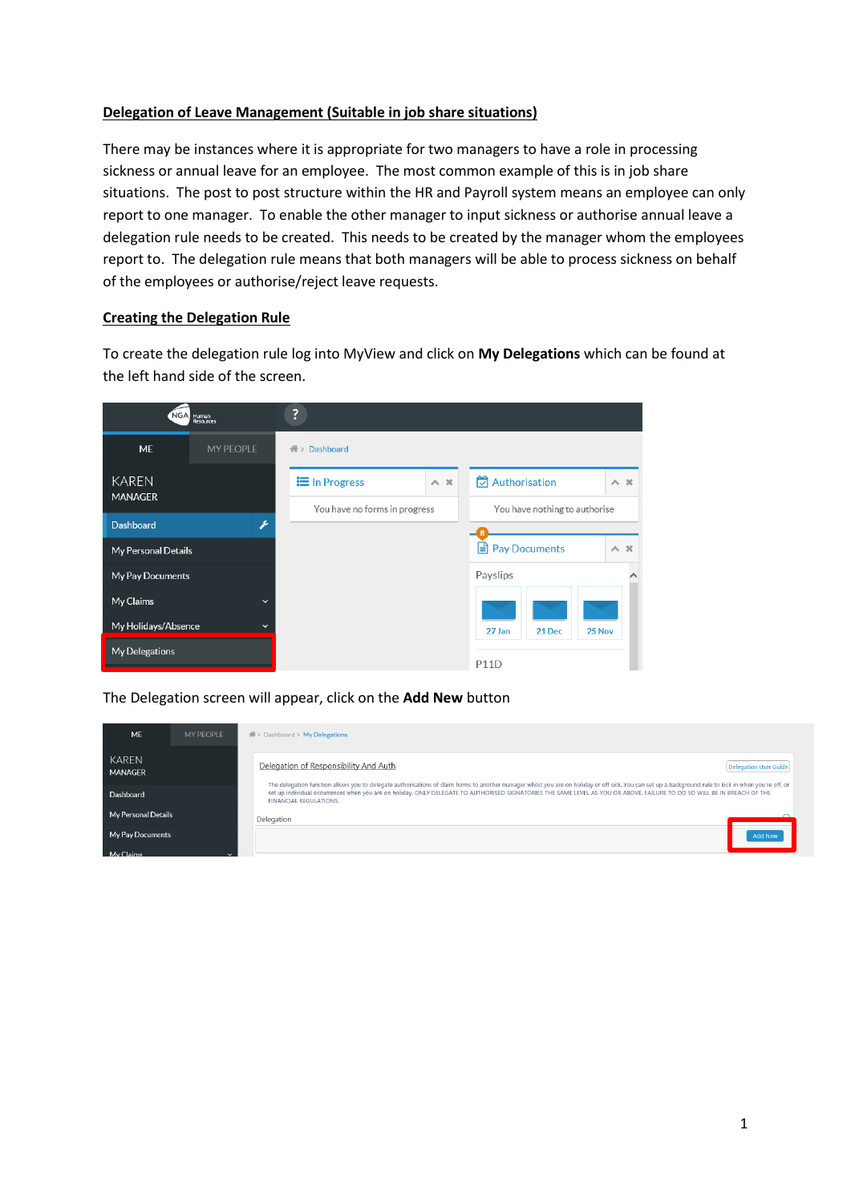# **Delegation of Leave Management (Suitable in job share situations)**

There may be instances where it is appropriate for two managers to have a role in processing sickness or annual leave for an employee. The most common example of this is in job share situations. The post to post structure within the HR and Payroll system means an employee can only report to one manager. To enable the other manager to input sickness or authorise annual leave a delegation rule needs to be created. This needs to be created by the manager whom the employees report to. The delegation rule means that both managers will be able to process sickness on behalf of the employees or authorise/reject leave requests.

# **Creating the Delegation Rule**

To create the delegation rule log into MyView and click on **My Delegations** which can be found at the left hand side of the screen.

|                                | NGA Human                  | ?                                                              |            |                            |            |  |
|--------------------------------|----------------------------|----------------------------------------------------------------|------------|----------------------------|------------|--|
| <b>ME</b>                      | <b>MY PEOPLE</b>           | Dashboard<br>个>                                                |            |                            |            |  |
| <b>KAREN</b><br><b>MANAGER</b> |                            | <b>i</b> In Progress                                           | $\wedge x$ | $\Box$ Authorisation       | $\wedge x$ |  |
|                                |                            | You have no forms in progress<br>You have nothing to authorise |            |                            |            |  |
| <b>Dashboard</b>               | $\boldsymbol{\mathcal{E}}$ |                                                                |            |                            |            |  |
| <b>My Personal Details</b>     |                            |                                                                |            | <b>E</b> Pay Documents     | $\wedge x$ |  |
| My Pay Documents               |                            |                                                                |            | Payslips                   | ⌒          |  |
| My Claims                      | $\checkmark$               |                                                                |            |                            |            |  |
| My Holidays/Absence            | $\checkmark$               |                                                                |            | 27 Jan<br>21 Dec<br>25 Nov |            |  |
| My Delegations                 |                            |                                                                |            | <b>P11D</b>                |            |  |
|                                |                            |                                                                |            |                            |            |  |

The Delegation screen will appear, click on the **Add New** button

| ME                      | MY PFOPLE | $\frac{26}{100}$ > Dashboard > My Delegations                                                                                                                                                                                                                                                                                                                                                                |
|-------------------------|-----------|--------------------------------------------------------------------------------------------------------------------------------------------------------------------------------------------------------------------------------------------------------------------------------------------------------------------------------------------------------------------------------------------------------------|
| KAREN<br><b>MANAGER</b> |           | Delegation of Responsibility And Auth<br><b>Delegation User Guide</b>                                                                                                                                                                                                                                                                                                                                        |
| Dashboard               |           | The delegation function allows you to delegate authorisations of claim forms to another manager whilst you are on holiday or off sick. You can set up a background rule to kick in when you're off, or<br>set up individual occurrences when you are on holiday. ONLY DELEGATE TO AUTHORISED SIGNATORIES THE SAME LEVEL AS YOU OR ABOVE. FAILURE TO DO SO WILL BE IN BREACH OF THE<br>FINANCIAL REGULATIONS. |
| My Personal Details     |           | Delegation                                                                                                                                                                                                                                                                                                                                                                                                   |
| My Pay Documents        |           | Add New                                                                                                                                                                                                                                                                                                                                                                                                      |
| My Claims               |           |                                                                                                                                                                                                                                                                                                                                                                                                              |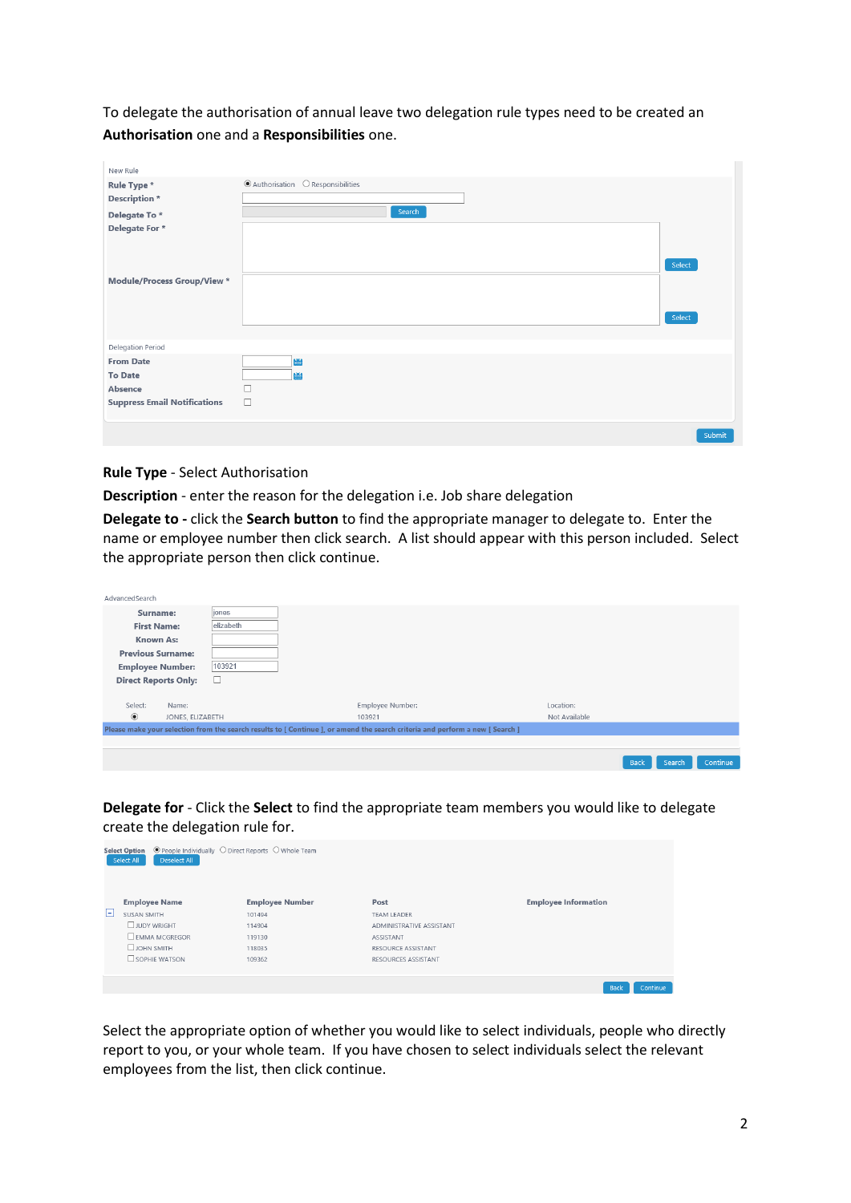To delegate the authorisation of annual leave two delegation rule types need to be created an **Authorisation** one and a **Responsibilities** one.

| New Rule                            |                                                |        |
|-------------------------------------|------------------------------------------------|--------|
| Rule Type *                         | $\odot$ Authorisation $\odot$ Responsibilities |        |
| Description *                       |                                                |        |
| Delegate To*                        | Search                                         |        |
| Delegate For *                      |                                                |        |
|                                     |                                                |        |
|                                     |                                                | Select |
| <b>Module/Process Group/View *</b>  |                                                |        |
|                                     |                                                |        |
|                                     |                                                |        |
|                                     |                                                | Select |
|                                     |                                                |        |
| Delegation Period                   |                                                |        |
| <b>From Date</b>                    | 幽                                              |        |
| <b>To Date</b>                      | 豳                                              |        |
| Absence                             | п                                              |        |
| <b>Suppress Email Notifications</b> | $\Box$                                         |        |
|                                     |                                                |        |
|                                     |                                                | Submit |

#### **Rule Type** - Select Authorisation

**Description** - enter the reason for the delegation i.e. Job share delegation

**Delegate to -** click the **Search button** to find the appropriate manager to delegate to. Enter the name or employee number then click search. A list should appear with this person included. Select the appropriate person then click continue.

| AdvancedSearch              |                  |           |                                                                                                                               |               |                                          |
|-----------------------------|------------------|-----------|-------------------------------------------------------------------------------------------------------------------------------|---------------|------------------------------------------|
| Surname:                    |                  | jones     |                                                                                                                               |               |                                          |
| <b>First Name:</b>          |                  | elizabeth |                                                                                                                               |               |                                          |
| <b>Known As:</b>            |                  |           |                                                                                                                               |               |                                          |
| <b>Previous Surname:</b>    |                  |           |                                                                                                                               |               |                                          |
| <b>Employee Number:</b>     |                  | 103921    |                                                                                                                               |               |                                          |
| <b>Direct Reports Only:</b> |                  | ⊔         |                                                                                                                               |               |                                          |
|                             |                  |           |                                                                                                                               |               |                                          |
| Select:                     | Name:            |           | Employee Number:                                                                                                              | Location:     |                                          |
| $\circledbullet$            | JONES, ELIZABETH |           | 103921                                                                                                                        | Not Available |                                          |
|                             |                  |           | Please make your selection from the search results to [ Continue ], or amend the search criteria and perform a new [ Search ] |               |                                          |
|                             |                  |           |                                                                                                                               |               |                                          |
|                             |                  |           |                                                                                                                               |               |                                          |
|                             |                  |           |                                                                                                                               |               | Continue<br><b>Search</b><br><b>Back</b> |

**Delegate for** - Click the **Select** to find the appropriate team members you would like to delegate create the delegation rule for.

|   | $\odot$ People Individually $\odot$ Direct Reports $\odot$ Whole Team<br><b>Select Option</b><br>Deselect All<br>Select All |                        |                           |                             |
|---|-----------------------------------------------------------------------------------------------------------------------------|------------------------|---------------------------|-----------------------------|
|   | <b>Employee Name</b>                                                                                                        | <b>Employee Number</b> | Post                      | <b>Employee Information</b> |
| ы | SUSAN SMITH                                                                                                                 | 101494                 | <b>TEAM LEADER</b>        |                             |
|   | <b>UJUDY WRIGHT</b>                                                                                                         | 114904                 | ADMINISTRATIVE ASSISTANT  |                             |
|   | <b>EMMA MCGREGOR</b>                                                                                                        | 119130                 | <b>ASSISTANT</b>          |                             |
|   | $\Box$ JOHN SMITH                                                                                                           | 118035                 | <b>RESOURCE ASSISTANT</b> |                             |
|   | $\Box$ SOPHIE WATSON                                                                                                        | 109362                 | RESOURCES ASSISTANT       |                             |
|   |                                                                                                                             |                        |                           |                             |
|   |                                                                                                                             |                        |                           | <b>Back</b><br>Continue     |

Select the appropriate option of whether you would like to select individuals, people who directly report to you, or your whole team. If you have chosen to select individuals select the relevant employees from the list, then click continue.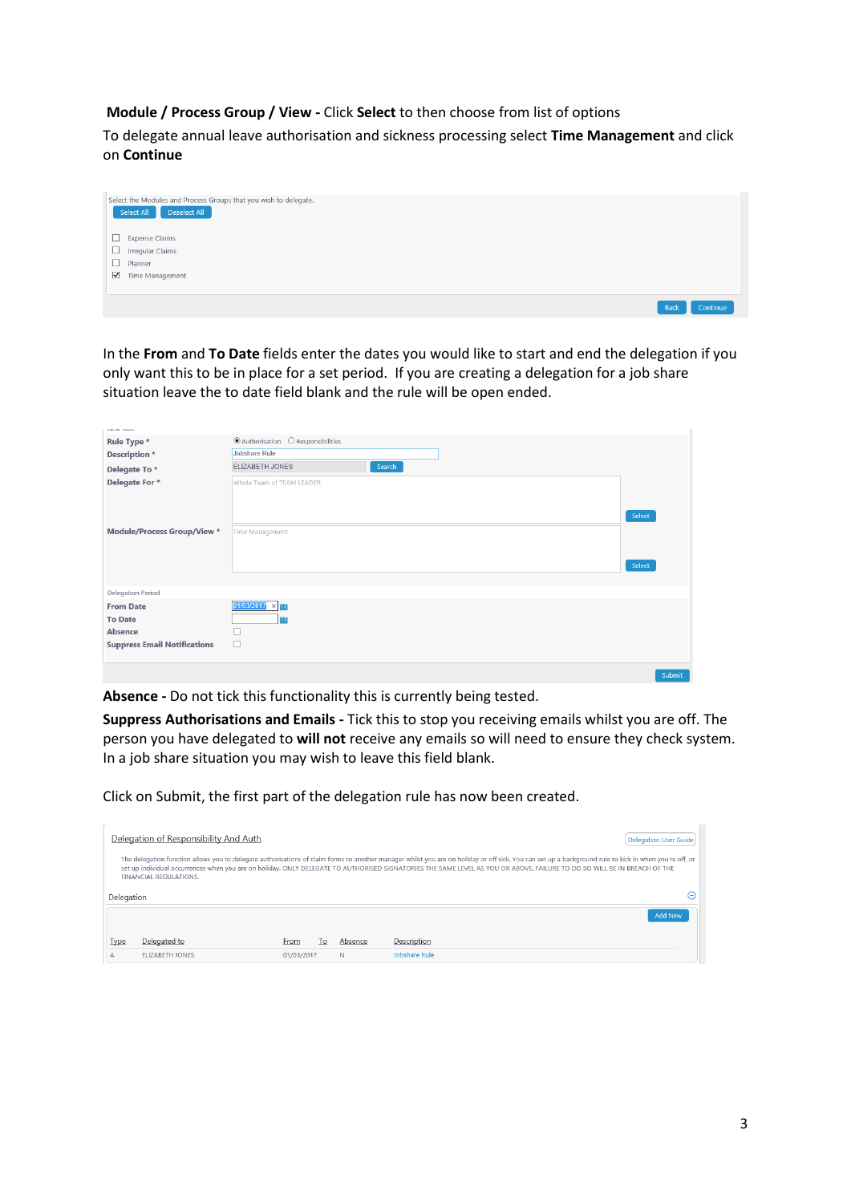# **Module / Process Group / View -** Click **Select** to then choose from list of options

To delegate annual leave authorisation and sickness processing select **Time Management** and click on **Continue**



In the **From** and **To Date** fields enter the dates you would like to start and end the delegation if you only want this to be in place for a set period. If you are creating a delegation for a job share situation leave the to date field blank and the rule will be open ended.

| <b>EXUMENTARY</b>                   |                                                |        |
|-------------------------------------|------------------------------------------------|--------|
| Rule Type *                         | $\odot$ Authorisation $\odot$ Responsibilities |        |
| <b>Description</b> *                | Jobshare Rule                                  |        |
| Delegate To*                        | ELIZABETH JONES<br>Search                      |        |
| Delegate For *                      | Whole Team of TEAM LEADER                      |        |
|                                     |                                                |        |
|                                     |                                                |        |
|                                     |                                                | Select |
| <b>Module/Process Group/View *</b>  | Time Management                                |        |
|                                     |                                                |        |
|                                     |                                                | Select |
|                                     |                                                |        |
|                                     |                                                |        |
| Delegation Period                   |                                                |        |
| <b>From Date</b>                    | $01/03/2017 \times 10^{-11}$                   |        |
| <b>To Date</b>                      | 蘭                                              |        |
| Absence                             |                                                |        |
| <b>Suppress Email Notifications</b> | □                                              |        |
|                                     |                                                |        |
|                                     |                                                | Submit |

**Absence -** Do not tick this functionality this is currently being tested.

**Suppress Authorisations and Emails -** Tick this to stop you receiving emails whilst you are off. The person you have delegated to **will not** receive any emails so will need to ensure they check system. In a job share situation you may wish to leave this field blank.

Click on Submit, the first part of the delegation rule has now been created.

|             | Delegation of Responsibility And Auth<br><b>Delegation User Guide</b>                                                                                                                                                                                                                                                                                                                                        |            |                |         |                |  |  |  |  |
|-------------|--------------------------------------------------------------------------------------------------------------------------------------------------------------------------------------------------------------------------------------------------------------------------------------------------------------------------------------------------------------------------------------------------------------|------------|----------------|---------|----------------|--|--|--|--|
|             | The delegation function allows you to delegate authorisations of claim forms to another manager whilst you are on holiday or off sick. You can set up a background rule to kick in when you're off, or<br>set up individual occurrences when you are on holiday. ONLY DELEGATE TO AUTHORISED SIGNATORIES THE SAME LEVEL AS YOU OR ABOVE. FAILURE TO DO SO WILL BE IN BREACH OF THE<br>FINANCIAL REGULATIONS. |            |                |         |                |  |  |  |  |
| Delegation  |                                                                                                                                                                                                                                                                                                                                                                                                              |            |                |         | -)             |  |  |  |  |
|             |                                                                                                                                                                                                                                                                                                                                                                                                              |            |                |         | <b>Add New</b> |  |  |  |  |
| <b>Type</b> | Delegated to                                                                                                                                                                                                                                                                                                                                                                                                 | From       | $\overline{0}$ | Absence | Description    |  |  |  |  |
| А           | FLIZABETH JONES                                                                                                                                                                                                                                                                                                                                                                                              | 01/03/2017 |                | N       | Jobshare Rule  |  |  |  |  |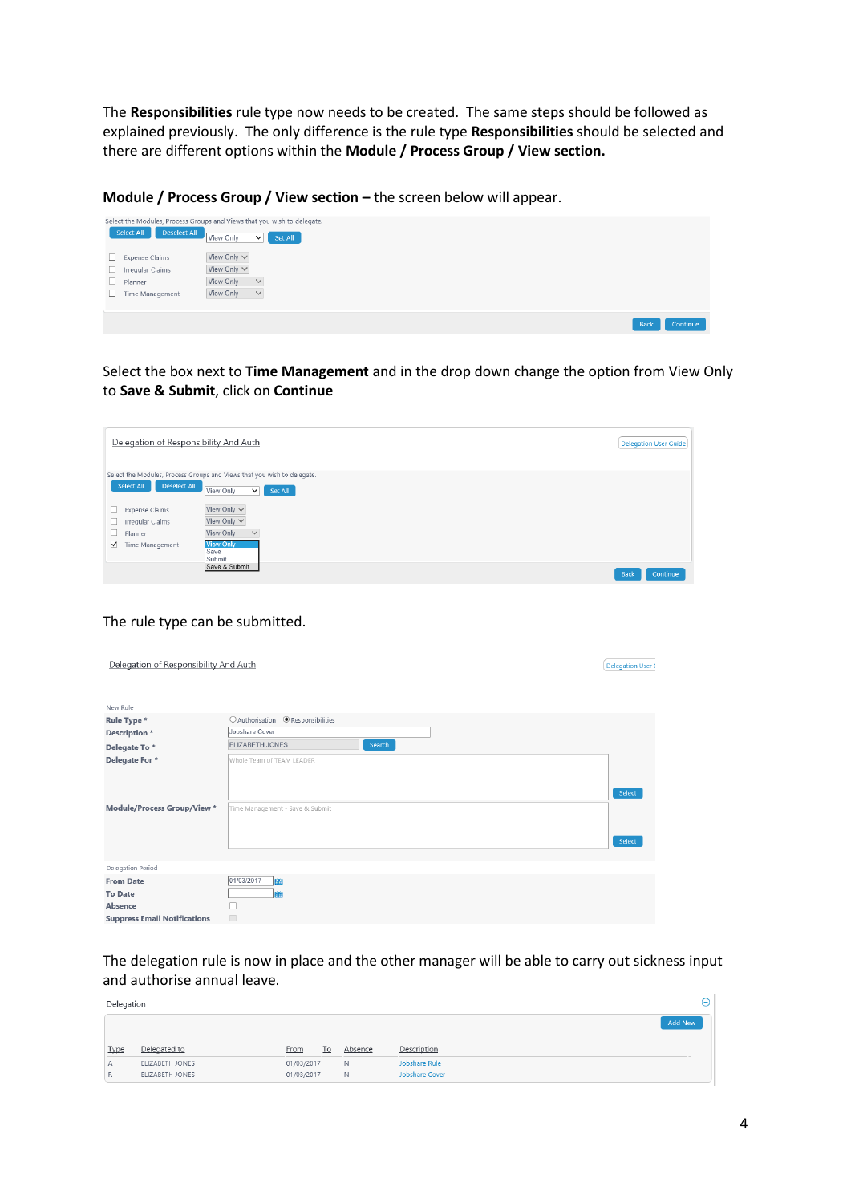The **Responsibilities** rule type now needs to be created. The same steps should be followed as explained previously. The only difference is the rule type **Responsibilities** should be selected and there are different options within the **Module / Process Group / View section.**

**Module / Process Group / View section – the screen below will appear.** 



Select the box next to **Time Management** and in the drop down change the option from View Only to **Save & Submit**, click on **Continue**



#### The rule type can be submitted.

| Delegation of Responsibility And Auth                                                |                                                              | <b>Delegation User (</b> |
|--------------------------------------------------------------------------------------|--------------------------------------------------------------|--------------------------|
| New Rule                                                                             |                                                              |                          |
| Rule Type *                                                                          | ○ Authorisation ● Responsibilities                           |                          |
| <b>Description</b> *                                                                 | Jobshare Cover                                               |                          |
| Delegate To*                                                                         | ELIZABETH JONES<br>Search                                    |                          |
| Delegate For *<br><b>Module/Process Group/View *</b>                                 | Whole Team of TEAM LEADER<br>Time Management - Save & Submit | Select<br>Select         |
| <b>Delegation Period</b>                                                             |                                                              |                          |
| <b>From Date</b><br><b>To Date</b><br>Absence<br><b>Suppress Email Notifications</b> | 01/03/2017<br>豳<br>瞄<br>П<br>$\Box$                          |                          |

The delegation rule is now in place and the other manager will be able to carry out sickness input and authorise annual leave.

| Delegation  |                                    |                          |    |         |                                 | Θ |
|-------------|------------------------------------|--------------------------|----|---------|---------------------------------|---|
|             |                                    |                          |    |         | <b>Add New</b>                  |   |
| <b>Type</b> | Delegated to                       | <b>From</b>              | To | Absence | Description                     |   |
| А<br>R      | ELIZABETH JONES<br>ELIZABETH JONES | 01/03/2017<br>01/03/2017 |    | N<br>N. | Jobshare Rule<br>Jobshare Cover |   |
|             |                                    |                          |    |         |                                 |   |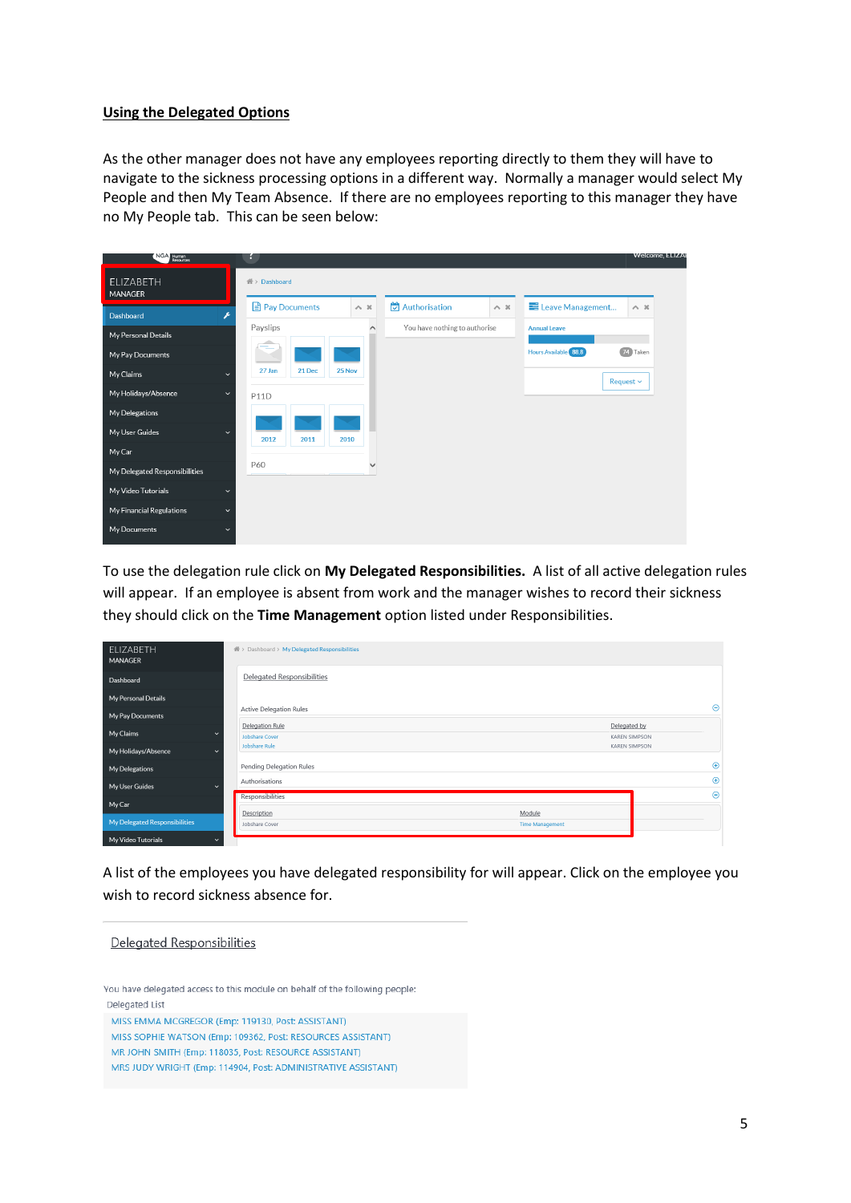#### **Using the Delegated Options**

As the other manager does not have any employees reporting directly to them they will have to navigate to the sickness processing options in a different way. Normally a manager would select My People and then My Team Absence. If there are no employees reporting to this manager they have no My People tab. This can be seen below:

| NGA Human                     | н                                                                                                                                     | <b>Welcome, ELIZA</b> |
|-------------------------------|---------------------------------------------------------------------------------------------------------------------------------------|-----------------------|
| ELIZABETH<br>MANAGER          | $\mathcal{R}$ > Dashboard                                                                                                             |                       |
| Dashboard                     | $\rightarrow$ Authorisation<br>Pay Documents<br>E Leave Management<br>$\sim~\times$<br>$\sim~\times$<br>$\wedge$ $\,$ $\,\times$<br>F |                       |
| My Personal Details           | Payslips<br>You have nothing to authorise<br>Annual Leave<br>$\wedge$                                                                 |                       |
| My Pay Documents              | 74 Taken<br>Hours Available 88.8                                                                                                      |                       |
| My Claims                     | 27 Jan<br>21 Dec<br>25 Nov<br>$\checkmark$<br>Request $\sim$                                                                          |                       |
| My Holidays/Absence           | $\checkmark$<br>P11D                                                                                                                  |                       |
| My Delegations                |                                                                                                                                       |                       |
| My User Guides                | $\checkmark$<br>2012<br>2010<br>2011                                                                                                  |                       |
| My Car                        |                                                                                                                                       |                       |
| My Delegated Responsibilities | P60                                                                                                                                   |                       |
| My Video Tutorials            | $\check{ }$                                                                                                                           |                       |
| My Financial Regulations      | $\checkmark$                                                                                                                          |                       |
| My Documents                  | $\checkmark$                                                                                                                          |                       |

To use the delegation rule click on **My Delegated Responsibilities.** A list of all active delegation rules will appear. If an employee is absent from work and the manager wishes to record their sickness they should click on the **Time Management** option listed under Responsibilities.

| ELIZABETH<br>MANAGER                | 叠 > Dashboard > My Delegated Responsibilities |                                  |                                      |             |
|-------------------------------------|-----------------------------------------------|----------------------------------|--------------------------------------|-------------|
| Dashboard                           | Delegated Responsibilities                    |                                  |                                      |             |
| My Personal Details                 |                                               |                                  |                                      |             |
| My Pay Documents                    | <b>Active Delegation Rules</b>                |                                  |                                      | $\Theta$    |
| My Claims<br>$\checkmark$           | Delegation Rule<br><b>Jobshare Cover</b>      |                                  | Delegated by<br><b>KAREN SIMPSON</b> |             |
| My Holidays/Absence<br>$\checkmark$ | Jobshare Rule                                 |                                  | <b>KAREN SIMPSON</b>                 |             |
| <b>My Delegations</b>               | Pending Delegation Rules                      |                                  |                                      | $\bigoplus$ |
| My User Guides<br>$\checkmark$      | Authorisations                                |                                  |                                      | $\bigoplus$ |
| My Car                              | Responsibilities                              |                                  |                                      | $\Theta$    |
| My Delegated Responsibilities       | Description<br>Jobshare Cover                 | Module<br><b>Time Management</b> |                                      |             |
| My Video Tutorials<br>$\checkmark$  |                                               |                                  |                                      |             |

A list of the employees you have delegated responsibility for will appear. Click on the employee you wish to record sickness absence for.

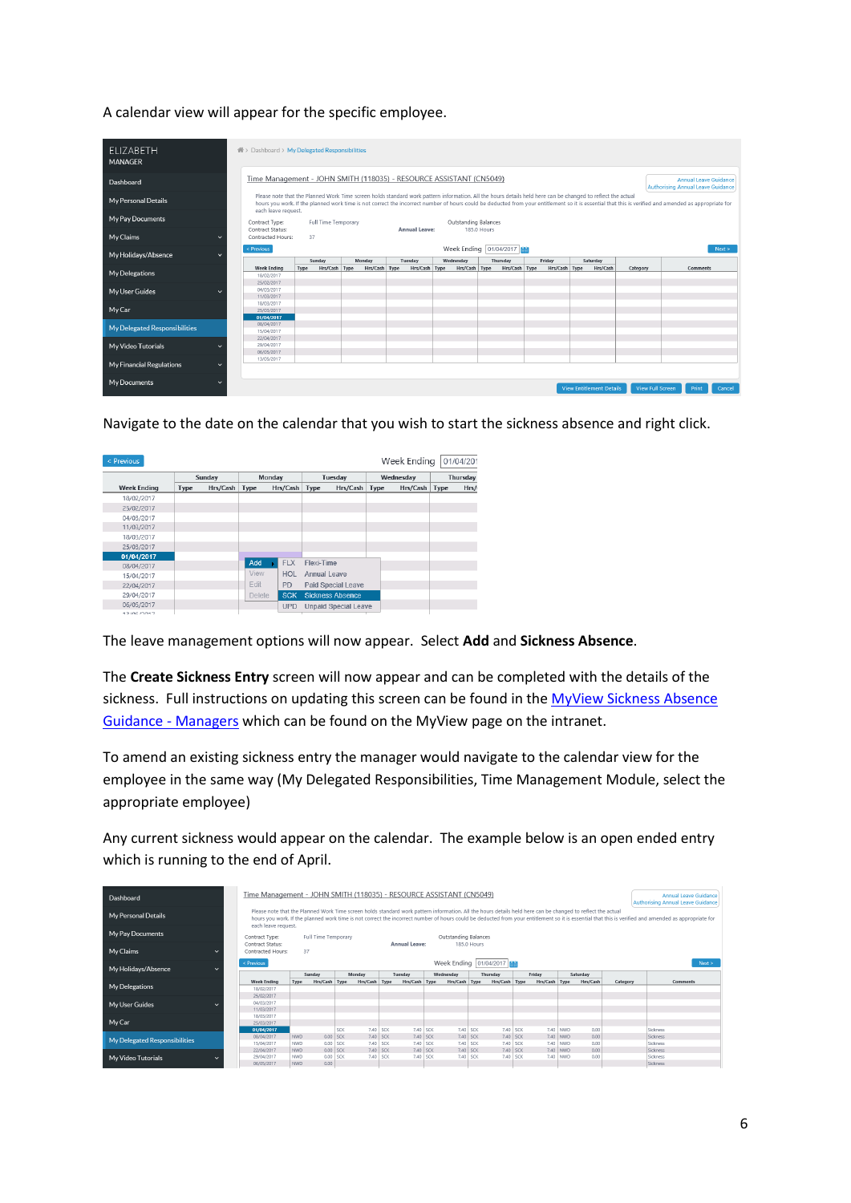A calendar view will appear for the specific employee.

| <b>ELIZABETH</b><br><b>MANAGER</b>       | new > Dashboard > My Delegated Responsibilities                                                                                                                                                                                                                                                                                                                                             |                       |               |               |                      |                                        |               |                                 |                         |                 |
|------------------------------------------|---------------------------------------------------------------------------------------------------------------------------------------------------------------------------------------------------------------------------------------------------------------------------------------------------------------------------------------------------------------------------------------------|-----------------------|---------------|---------------|----------------------|----------------------------------------|---------------|---------------------------------|-------------------------|-----------------|
| Dashboard                                | Time Management - JOHN SMITH (118035) - RESOURCE ASSISTANT (CN5049)<br>Annual Leave Guidance<br><b>Authorising Annual Leave Guidance</b>                                                                                                                                                                                                                                                    |                       |               |               |                      |                                        |               |                                 |                         |                 |
| My Personal Details                      | Please note that the Planned Work Time screen holds standard work pattern information. All the hours details held here can be changed to reflect the actual<br>hours you work. If the planned work time is not correct the incorrect number of hours could be deducted from your entitlement so it is essential that this is verified and amended as appropriate for<br>each leave request. |                       |               |               |                      |                                        |               |                                 |                         |                 |
| My Pay Documents                         | Contract Type:                                                                                                                                                                                                                                                                                                                                                                              | Full Time Temporary   |               | Annual Leave: | Outstanding Balances |                                        |               |                                 |                         |                 |
| My Claims<br>$\checkmark$                | Contract Status:<br>Contracted Hours:                                                                                                                                                                                                                                                                                                                                                       | 37                    |               |               |                      | 185.0 Hours                            |               |                                 |                         |                 |
| My Holidays/Absence<br>$\checkmark$      | < Previous                                                                                                                                                                                                                                                                                                                                                                                  | Sunday                | Monday        | Tuesday       | Wednesday            | Week Ending   01/04/2017  <br>Thursday | Friday        | Saturday                        |                         | Next >          |
| My Delegations                           | <b>Week Ending</b><br>18/02/2017<br>25/02/2017                                                                                                                                                                                                                                                                                                                                              | Type<br>Hrs/Cash Type | Hrs/Cash Type | Hrs/Cash Type | Hrs/Cash Type        | Hrs/Cash Type                          | Hrs/Cash Type | Hrs/Cash                        | Category                | <b>Comments</b> |
| My User Guides                           | 04/03/2017<br>11/03/2017                                                                                                                                                                                                                                                                                                                                                                    |                       |               |               |                      |                                        |               |                                 |                         |                 |
| My Car                                   | 18/03/2017<br>25/03/2017<br>01/04/2017                                                                                                                                                                                                                                                                                                                                                      |                       |               |               |                      |                                        |               |                                 |                         |                 |
| My Delegated Responsibilities            | 08/04/2017<br>15/04/2017<br>22/04/2017                                                                                                                                                                                                                                                                                                                                                      |                       |               |               |                      |                                        |               |                                 |                         |                 |
| My Video Tutorials                       | 29/04/2017<br>06/05/2017                                                                                                                                                                                                                                                                                                                                                                    |                       |               |               |                      |                                        |               |                                 |                         |                 |
| My Financial Regulations<br>$\checkmark$ | 13/05/2017                                                                                                                                                                                                                                                                                                                                                                                  |                       |               |               |                      |                                        |               |                                 |                         |                 |
| My Documents<br>$\checkmark$             |                                                                                                                                                                                                                                                                                                                                                                                             |                       |               |               |                      |                                        |               | <b>View Entitlement Details</b> | <b>View Full Screen</b> | Cancel<br>Print |

Navigate to the date on the calendar that you wish to start the sickness absence and right click.

| < Previous         |      |          |               |            |              |                             |      | Week Ending |      | 01/04/20 |
|--------------------|------|----------|---------------|------------|--------------|-----------------------------|------|-------------|------|----------|
|                    |      | Sunday   |               | Monday     |              | Tuesday                     |      | Wednesdav   |      | Thursday |
| <b>Week Ending</b> | Type | Hrs/Cash | Type          | Hrs/Cash   | Type         | Hrs/Cash                    | Type | Hrs/Cash    | Type | Hrs/     |
| 18/02/2017         |      |          |               |            |              |                             |      |             |      |          |
| 25/02/2017         |      |          |               |            |              |                             |      |             |      |          |
| 04/03/2017         |      |          |               |            |              |                             |      |             |      |          |
| 11/03/2017         |      |          |               |            |              |                             |      |             |      |          |
| 18/03/2017         |      |          |               |            |              |                             |      |             |      |          |
| 25/03/2017         |      |          |               |            |              |                             |      |             |      |          |
| 01/04/2017         |      |          |               |            |              |                             |      |             |      |          |
| 08/04/2017         |      |          | Add           | <b>FLX</b> | Flexi-Time   |                             |      |             |      |          |
| 15/04/2017         |      |          | View          | <b>HOL</b> | Annual Leave |                             |      |             |      |          |
| 22/04/2017         |      |          | Edit          | <b>PD</b>  |              | <b>Paid Special Leave</b>   |      |             |      |          |
| 29/04/2017         |      |          | <b>Delete</b> | <b>SCK</b> |              | <b>Sickness Absence</b>     |      |             |      |          |
| 06/05/2017         |      |          |               | <b>UPD</b> |              | <b>Unpaid Special Leave</b> |      |             |      |          |
| 47.107.1227        |      |          |               |            |              |                             |      |             |      |          |

The leave management options will now appear. Select **Add** and **Sickness Absence**.

The **Create Sickness Entry** screen will now appear and can be completed with the details of the sickness. Full instructions on updating this screen can be found in the MyView Sickness Absence [Guidance -](http://inside.falkirk.gov.uk/systems/docs/my-view/MyView%20Sickness%20Absence%20Guidance%20-%20Managers.pdf?v=201703171103) Managers which can be found on the MyView page on the intranet.

To amend an existing sickness entry the manager would navigate to the calendar view for the employee in the same way (My Delegated Responsibilities, Time Management Module, select the appropriate employee)

Any current sickness would appear on the calendar. The example below is an open ended entry which is running to the end of April.

| Time Management - JOHN SMITH (118035) - RESOURCE ASSISTANT (CN5049)<br><b>Annual Leave Guidance</b><br>Dashboard<br>Authorising Annual Leave Guidance                                                                                                                                                                                                                                                              |                                       |                             |                          |                      |                                                 |                      |                                |        |                      |                      |               |                      |              |          |                      |  |
|--------------------------------------------------------------------------------------------------------------------------------------------------------------------------------------------------------------------------------------------------------------------------------------------------------------------------------------------------------------------------------------------------------------------|---------------------------------------|-----------------------------|--------------------------|----------------------|-------------------------------------------------|----------------------|--------------------------------|--------|----------------------|----------------------|---------------|----------------------|--------------|----------|----------------------|--|
| Please note that the Planned Work Time screen holds standard work pattern information. All the hours details held here can be changed to reflect the actual<br>My Personal Details<br>hours you work. If the planned work time is not correct the incorrect number of hours could be deducted from your entitlement so it is essential that this is verified and amended as appropriate for<br>each leave request. |                                       |                             |                          |                      |                                                 |                      |                                |        |                      |                      |               |                      |              |          |                      |  |
| My Pay Documents                                                                                                                                                                                                                                                                                                                                                                                                   |                                       | Full Time Temporary         |                          | Annual Leave:        |                                                 | Outstanding Balances |                                |        |                      |                      |               |                      |              |          |                      |  |
| My Claims                                                                                                                                                                                                                                                                                                                                                                                                          | Contract Status:<br>Contracted Hours: | 37                          |                          |                      |                                                 |                      |                                |        | <b>185.0 Hours</b>   |                      |               |                      |              |          |                      |  |
| My Holidays/Absence                                                                                                                                                                                                                                                                                                                                                                                                | < Previous                            | Sunday<br>Monday<br>Tuesday |                          |                      | Week Ending 01/04/2017<br>Wednesdav<br>Thursday |                      |                                | Friday |                      |                      | Saturday      |                      |              | Next >   |                      |  |
|                                                                                                                                                                                                                                                                                                                                                                                                                    | <b>Week Ending</b>                    | Type                        | Hrs/Cash Type            | Hrs/Cash Type        |                                                 |                      | Hrs/Cash Type<br>Hrs/Cash Type |        | Hrs/Cash Type        |                      | Hrs/Cash Type |                      | Hrs/Cash     | Category | <b>Comments</b>      |  |
| My Delegations                                                                                                                                                                                                                                                                                                                                                                                                     | 18/02/2017                            |                             |                          |                      |                                                 |                      |                                |        |                      |                      |               |                      |              |          |                      |  |
|                                                                                                                                                                                                                                                                                                                                                                                                                    | 25/02/2017                            |                             |                          |                      |                                                 |                      |                                |        |                      |                      |               |                      |              |          |                      |  |
| My User Guides                                                                                                                                                                                                                                                                                                                                                                                                     | 04/03/2017                            |                             |                          |                      |                                                 |                      |                                |        |                      |                      |               |                      |              |          |                      |  |
|                                                                                                                                                                                                                                                                                                                                                                                                                    | 11/03/2017                            |                             |                          |                      |                                                 |                      |                                |        |                      |                      |               |                      |              |          |                      |  |
|                                                                                                                                                                                                                                                                                                                                                                                                                    | 18/03/2017                            |                             |                          |                      |                                                 |                      |                                |        |                      |                      |               |                      |              |          |                      |  |
| My Car                                                                                                                                                                                                                                                                                                                                                                                                             | 25/03/2017                            |                             |                          |                      |                                                 |                      |                                |        |                      |                      |               |                      |              |          |                      |  |
|                                                                                                                                                                                                                                                                                                                                                                                                                    | 01/04/2017<br>08/04/2017              | <b>NWD</b>                  | <b>SCK</b><br>$0.00$ SCK | 7.40 SCK<br>7.40 SCK |                                                 | 7.40 SCK<br>7.40 SCK |                                |        | 7.40 SCK<br>7.40 SCK | 7.40 SCK<br>7.40 SCK |               | 7.40 NWD<br>7.40 NWD | 0.00<br>0.00 |          | Sickness<br>Sickness |  |
| My Delegated Responsibilities                                                                                                                                                                                                                                                                                                                                                                                      | 15/04/2017                            | <b>NWD</b>                  | 0.00 SCK                 | 7.40 SCK             |                                                 | 7.40 SCK             |                                |        | 7.40 SCK             | 7.40 SCK             |               | 7.40 NWD             | 0.00         |          | Sickness             |  |
|                                                                                                                                                                                                                                                                                                                                                                                                                    | 22/04/2017                            | <b>NWD</b>                  | 0.00 SCK                 | 7.40 SCK             |                                                 | 7.40 SCK             |                                |        | 7.40 SCK             | 7.40 SCK             |               | 7.40 NWD             | 0.00         |          | Sickness             |  |
| My Video Tutorials                                                                                                                                                                                                                                                                                                                                                                                                 | 29/04/2017                            | <b>NWD</b>                  | 0.00<br><b>SCK</b>       | 7.40 SCK             |                                                 | 7.40 SCK             |                                |        | 7.40 SCK             | 7.40 SCK             | 7.40          | <b>NWD</b>           | 0.00         |          | Sickness             |  |
|                                                                                                                                                                                                                                                                                                                                                                                                                    | 06/05/2017                            | NW <sub>D</sub>             | 0.00.                    |                      |                                                 |                      |                                |        |                      |                      |               |                      |              |          | Sickness             |  |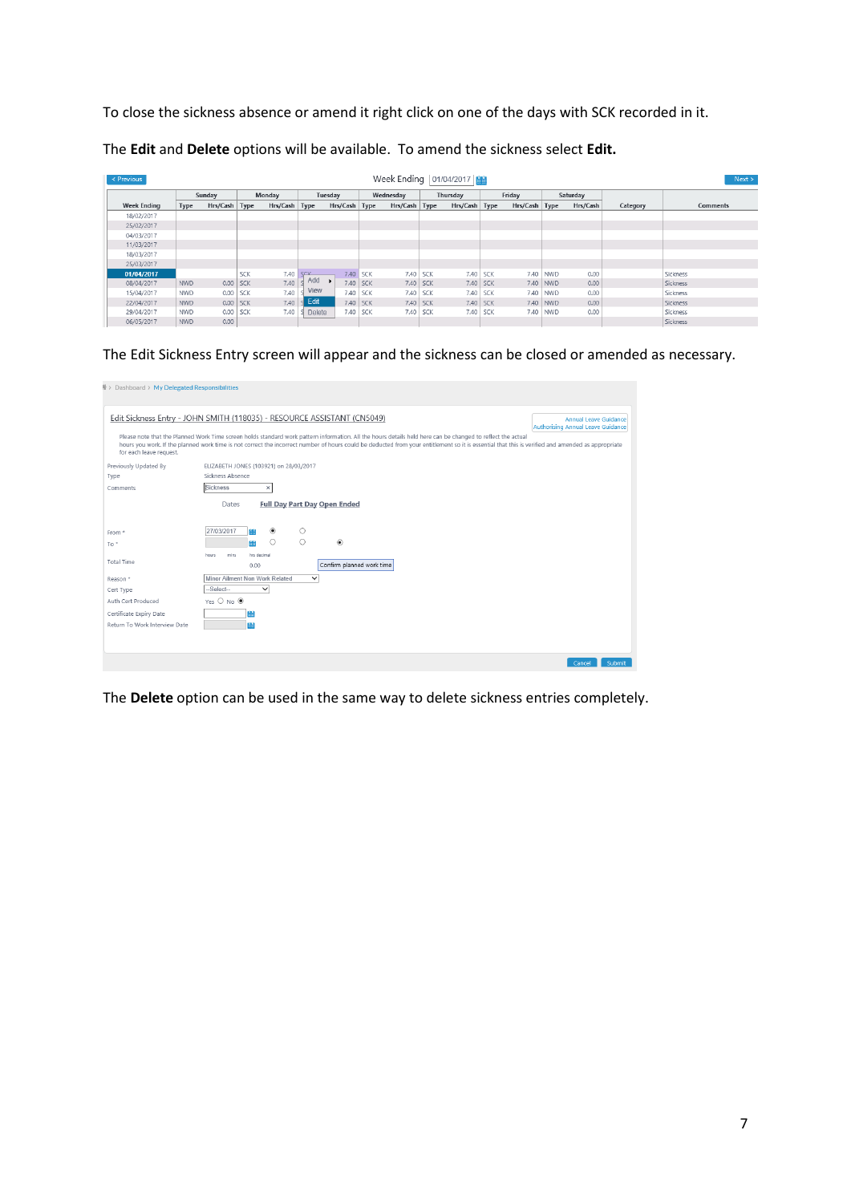To close the sickness absence or amend it right click on one of the days with SCK recorded in it.

| Week Ending   01/04/2017  <br>$\leq$ Previous<br>Next > |            |               |               |          |                 |      |                 |               |            |                 |            |          |            |          |          |                 |
|---------------------------------------------------------|------------|---------------|---------------|----------|-----------------|------|-----------------|---------------|------------|-----------------|------------|----------|------------|----------|----------|-----------------|
|                                                         | Sundav     |               | <b>Monday</b> |          | Tuesday         |      |                 | Wednesdav     |            | Thursday        |            | Friday   |            | Saturday |          |                 |
| <b>Week Ending</b>                                      | Type       | Hrs/Cash Type |               | Hrs/Cash | Type            |      | Hrs/Cash   Type | Hrs/Cash Type |            | Hrs/Cash   Type |            | Hrs/Cash | Type       | Hrs/Cash | Category | <b>Comments</b> |
| 18/02/2017                                              |            |               |               |          |                 |      |                 |               |            |                 |            |          |            |          |          |                 |
| 25/02/2017                                              |            |               |               |          |                 |      |                 |               |            |                 |            |          |            |          |          |                 |
| 04/03/2017                                              |            |               |               |          |                 |      |                 |               |            |                 |            |          |            |          |          |                 |
| 11/03/2017                                              |            |               |               |          |                 |      |                 |               |            |                 |            |          |            |          |          |                 |
| 18/03/2017                                              |            |               |               |          |                 |      |                 |               |            |                 |            |          |            |          |          |                 |
| 25/03/2017                                              |            |               |               |          |                 |      |                 |               |            |                 |            |          |            |          |          |                 |
| 01/04/2017                                              |            |               | SCK           | 7.40     | SCK             | 7.40 | SCK             | 7.40          | <b>SCK</b> | 7.40            | <b>SCK</b> | 7.40     | <b>NWD</b> | 0.00     |          | Sickness        |
| 08/04/2017                                              | <b>NWD</b> | 0.00 SCK      |               | 7.40     | Add             | 7.40 | SCK             | 7.40          | <b>SCK</b> | 7.40            | <b>SCK</b> | 7.40     | <b>NWD</b> | 0.00     |          | Sickness        |
| 15/04/2017                                              | <b>NWD</b> | 0.00 SCK      |               | 7.40     | <b>View</b>     | 7.40 | <b>SCK</b>      |               | 7.40 SCK   | 7.40            | <b>SCK</b> | 7.40     | <b>NWD</b> | 0.00     |          | Sickness        |
| 22/04/2017                                              | <b>NWD</b> | $0.00$ SCK    |               | 7.40     | $\epsilon$ Edit | 7.40 | <b>SCK</b>      |               | 7.40 SCK   | 7.40            | <b>SCK</b> | 7.40     | <b>NWD</b> | 0.00     |          | Sickness        |
| 29/04/2017                                              | <b>NWD</b> |               | $0.00$ SCK    | 7.40     | Delete          | 7.40 | <b>SCK</b>      | 7.40          | <b>SCK</b> | 7.40            | <b>SCK</b> | 7.40     | <b>NWD</b> | 0.00     |          | Sickness        |
| 06/05/2017                                              | <b>NWD</b> | 0.00          |               |          |                 |      |                 |               |            |                 |            |          |            |          |          | Sickness        |

The **Edit** and **Delete** options will be available. To amend the sickness select **Edit.**

The Edit Sickness Entry screen will appear and the sickness can be closed or amended as necessary.

| > Dashboard > My Delegated Responsibilities |                                                                                                                                                                                                                                                                                                                                                                  |                                                                          |
|---------------------------------------------|------------------------------------------------------------------------------------------------------------------------------------------------------------------------------------------------------------------------------------------------------------------------------------------------------------------------------------------------------------------|--------------------------------------------------------------------------|
|                                             | Edit Sickness Entry - JOHN SMITH (118035) - RESOURCE ASSISTANT (CN5049)                                                                                                                                                                                                                                                                                          | <b>Annual Leave Guidance</b><br><b>Authorising Annual Leave Guidance</b> |
| for each leave request.                     | Please note that the Planned Work Time screen holds standard work pattern information. All the hours details held here can be changed to reflect the actual<br>hours you work. If the planned work time is not correct the incorrect number of hours could be deducted from your entitlement so it is essential that this is verified and amended as appropriate |                                                                          |
| Previously Updated By                       | ELIZABETH JONES (103921) on 28/03/2017                                                                                                                                                                                                                                                                                                                           |                                                                          |
| Type                                        | Sickness Absence                                                                                                                                                                                                                                                                                                                                                 |                                                                          |
| Comments                                    | Sickness<br>$\times$                                                                                                                                                                                                                                                                                                                                             |                                                                          |
|                                             | Dates<br><b>Full Day Part Day Open Ended</b>                                                                                                                                                                                                                                                                                                                     |                                                                          |
| From *                                      | 27/03/2017<br>$^{\circ}$<br>Ο                                                                                                                                                                                                                                                                                                                                    |                                                                          |
| $To *$                                      | O<br>$\circ$<br>$\circledbullet$<br>鰗                                                                                                                                                                                                                                                                                                                            |                                                                          |
|                                             | mins<br>hrs decimal<br>hours                                                                                                                                                                                                                                                                                                                                     |                                                                          |
| <b>Total Time</b>                           | Confirm planned work time<br>0.00                                                                                                                                                                                                                                                                                                                                |                                                                          |
| Reason *                                    | Minor Ailment Non Work Related<br>$\checkmark$                                                                                                                                                                                                                                                                                                                   |                                                                          |
| Cert Type                                   | $-Select-$<br>$\checkmark$                                                                                                                                                                                                                                                                                                                                       |                                                                          |
| Auth Cert Produced                          | Yes O No ®                                                                                                                                                                                                                                                                                                                                                       |                                                                          |
| Certificate Expiry Date                     | ₩                                                                                                                                                                                                                                                                                                                                                                |                                                                          |
| Return To Work Interview Date               | 蘭                                                                                                                                                                                                                                                                                                                                                                |                                                                          |
|                                             |                                                                                                                                                                                                                                                                                                                                                                  |                                                                          |
|                                             |                                                                                                                                                                                                                                                                                                                                                                  |                                                                          |
|                                             |                                                                                                                                                                                                                                                                                                                                                                  | Submit<br>Cancel                                                         |

The **Delete** option can be used in the same way to delete sickness entries completely.